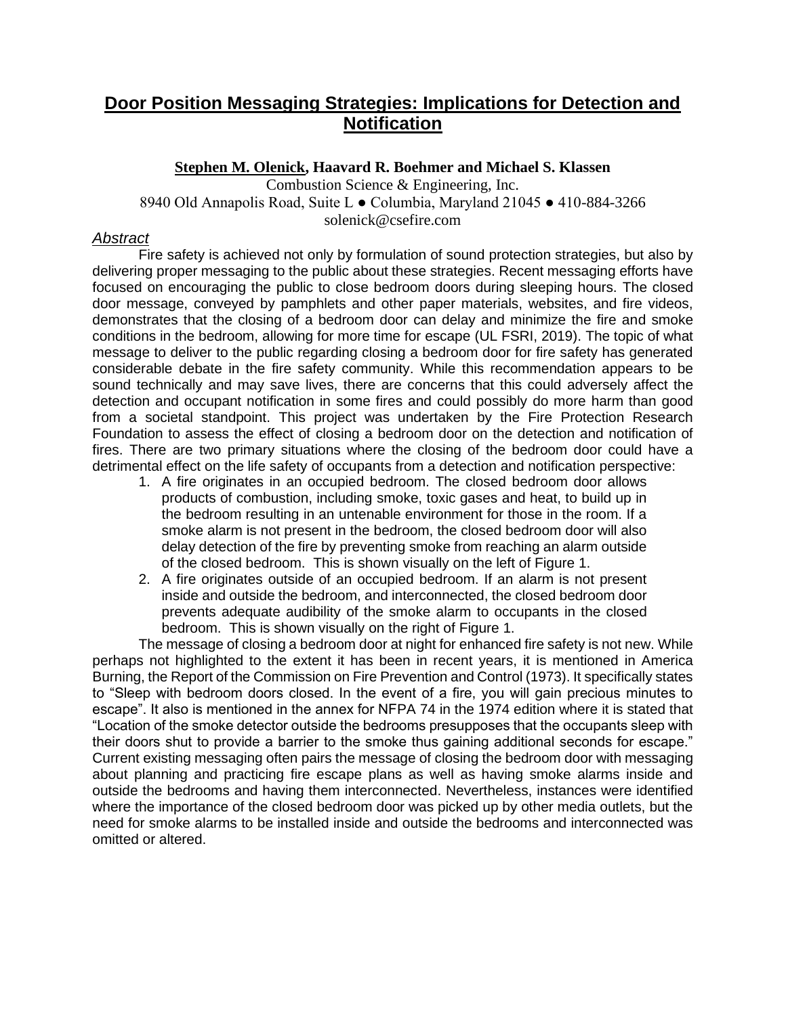## **Door Position Messaging Strategies: Implications for Detection and Notification**

**Stephen M. Olenick, Haavard R. Boehmer and Michael S. Klassen**  Combustion Science & Engineering, Inc. 8940 Old Annapolis Road, Suite L ● Columbia, Maryland 21045 ● 410-884-3266 solenick@csefire.com

## *Abstract*

Fire safety is achieved not only by formulation of sound protection strategies, but also by delivering proper messaging to the public about these strategies. Recent messaging efforts have focused on encouraging the public to close bedroom doors during sleeping hours. The closed door message, conveyed by pamphlets and other paper materials, websites, and fire videos, demonstrates that the closing of a bedroom door can delay and minimize the fire and smoke conditions in the bedroom, allowing for more time for escape (UL FSRI, 2019). The topic of what message to deliver to the public regarding closing a bedroom door for fire safety has generated considerable debate in the fire safety community. While this recommendation appears to be sound technically and may save lives, there are concerns that this could adversely affect the detection and occupant notification in some fires and could possibly do more harm than good from a societal standpoint. This project was undertaken by the Fire Protection Research Foundation to assess the effect of closing a bedroom door on the detection and notification of fires. There are two primary situations where the closing of the bedroom door could have a detrimental effect on the life safety of occupants from a detection and notification perspective:

- 1. A fire originates in an occupied bedroom. The closed bedroom door allows products of combustion, including smoke, toxic gases and heat, to build up in the bedroom resulting in an untenable environment for those in the room. If a smoke alarm is not present in the bedroom, the closed bedroom door will also delay detection of the fire by preventing smoke from reaching an alarm outside of the closed bedroom. This is shown visually on the left of [Figure 1.](#page-1-0)
- 2. A fire originates outside of an occupied bedroom. If an alarm is not present inside and outside the bedroom, and interconnected, the closed bedroom door prevents adequate audibility of the smoke alarm to occupants in the closed bedroom. This is shown visually on the right of [Figure 1.](#page-1-0)

The message of closing a bedroom door at night for enhanced fire safety is not new. While perhaps not highlighted to the extent it has been in recent years, it is mentioned in America Burning, the Report of the Commission on Fire Prevention and Control (1973). It specifically states to "Sleep with bedroom doors closed. In the event of a fire, you will gain precious minutes to escape". It also is mentioned in the annex for NFPA 74 in the 1974 edition where it is stated that "Location of the smoke detector outside the bedrooms presupposes that the occupants sleep with their doors shut to provide a barrier to the smoke thus gaining additional seconds for escape." Current existing messaging often pairs the message of closing the bedroom door with messaging about planning and practicing fire escape plans as well as having smoke alarms inside and outside the bedrooms and having them interconnected. Nevertheless, instances were identified where the importance of the closed bedroom door was picked up by other media outlets, but the need for smoke alarms to be installed inside and outside the bedrooms and interconnected was omitted or altered.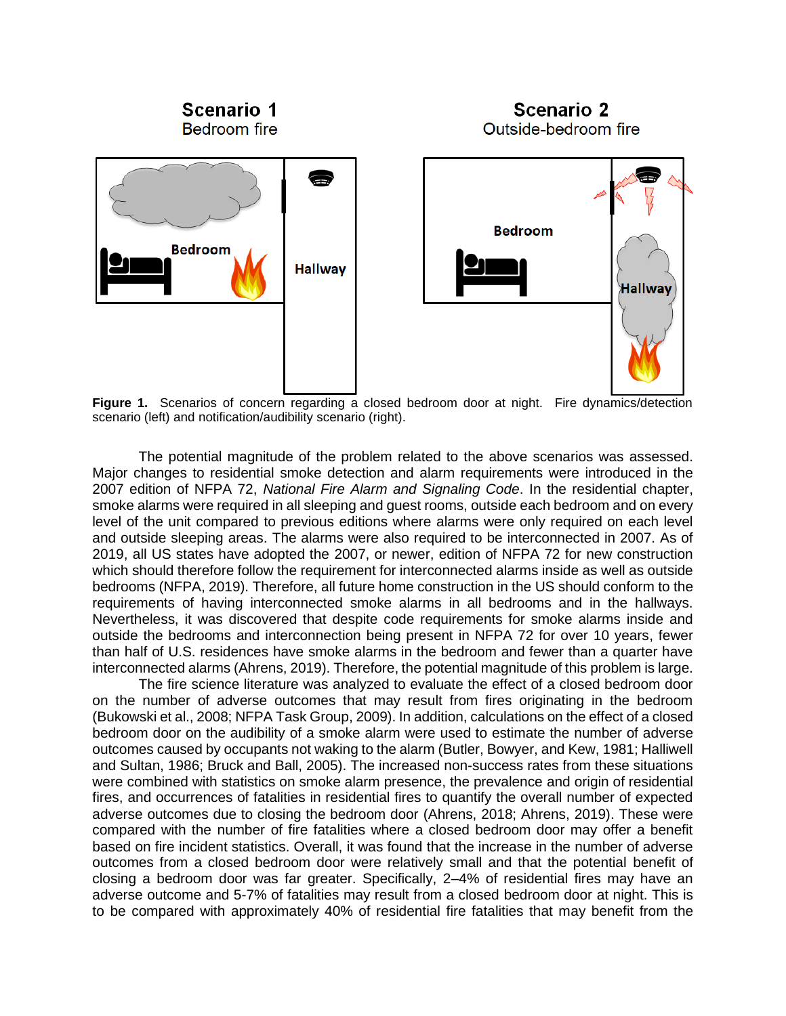

<span id="page-1-0"></span>**Figure 1.** Scenarios of concern regarding a closed bedroom door at night. Fire dynamics/detection scenario (left) and notification/audibility scenario (right).

The potential magnitude of the problem related to the above scenarios was assessed. Major changes to residential smoke detection and alarm requirements were introduced in the 2007 edition of NFPA 72, *National Fire Alarm and Signaling Code*. In the residential chapter, smoke alarms were required in all sleeping and guest rooms, outside each bedroom and on every level of the unit compared to previous editions where alarms were only required on each level and outside sleeping areas. The alarms were also required to be interconnected in 2007. As of 2019, all US states have adopted the 2007, or newer, edition of NFPA 72 for new construction which should therefore follow the requirement for interconnected alarms inside as well as outside bedrooms (NFPA, 2019). Therefore, all future home construction in the US should conform to the requirements of having interconnected smoke alarms in all bedrooms and in the hallways. Nevertheless, it was discovered that despite code requirements for smoke alarms inside and outside the bedrooms and interconnection being present in NFPA 72 for over 10 years, fewer than half of U.S. residences have smoke alarms in the bedroom and fewer than a quarter have interconnected alarms (Ahrens, 2019). Therefore, the potential magnitude of this problem is large.

The fire science literature was analyzed to evaluate the effect of a closed bedroom door on the number of adverse outcomes that may result from fires originating in the bedroom (Bukowski et al., 2008; NFPA Task Group, 2009). In addition, calculations on the effect of a closed bedroom door on the audibility of a smoke alarm were used to estimate the number of adverse outcomes caused by occupants not waking to the alarm (Butler, Bowyer, and Kew, 1981; Halliwell and Sultan, 1986; Bruck and Ball, 2005). The increased non-success rates from these situations were combined with statistics on smoke alarm presence, the prevalence and origin of residential fires, and occurrences of fatalities in residential fires to quantify the overall number of expected adverse outcomes due to closing the bedroom door (Ahrens, 2018; Ahrens, 2019). These were compared with the number of fire fatalities where a closed bedroom door may offer a benefit based on fire incident statistics. Overall, it was found that the increase in the number of adverse outcomes from a closed bedroom door were relatively small and that the potential benefit of closing a bedroom door was far greater. Specifically, 2–4% of residential fires may have an adverse outcome and 5-7% of fatalities may result from a closed bedroom door at night. This is to be compared with approximately 40% of residential fire fatalities that may benefit from the